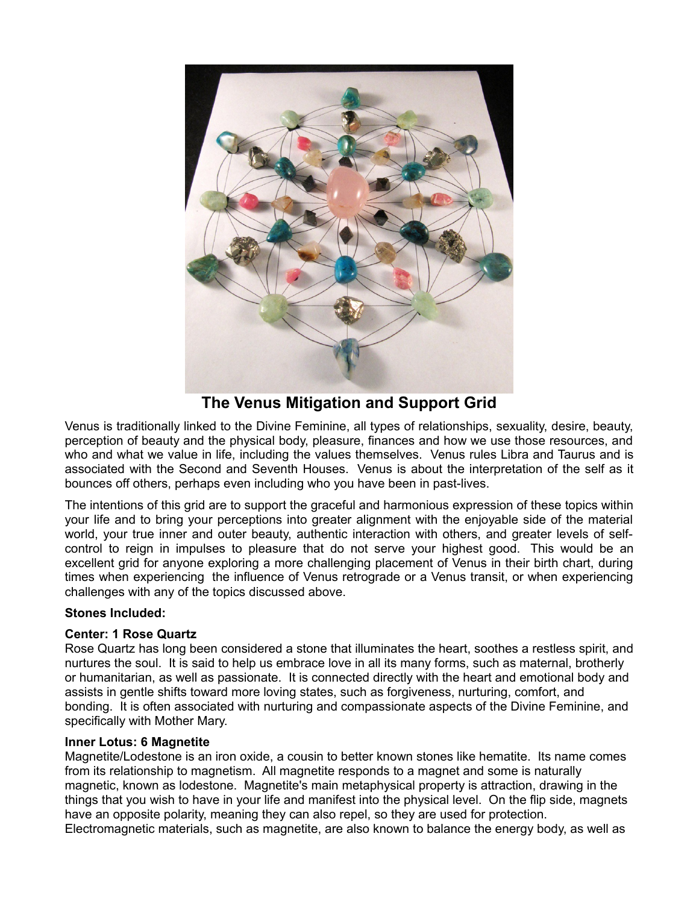

**The Venus Mitigation and Support Grid**

Venus is traditionally linked to the Divine Feminine, all types of relationships, sexuality, desire, beauty, perception of beauty and the physical body, pleasure, finances and how we use those resources, and who and what we value in life, including the values themselves. Venus rules Libra and Taurus and is associated with the Second and Seventh Houses. Venus is about the interpretation of the self as it bounces off others, perhaps even including who you have been in past-lives.

The intentions of this grid are to support the graceful and harmonious expression of these topics within your life and to bring your perceptions into greater alignment with the enjoyable side of the material world, your true inner and outer beauty, authentic interaction with others, and greater levels of selfcontrol to reign in impulses to pleasure that do not serve your highest good. This would be an excellent grid for anyone exploring a more challenging placement of Venus in their birth chart, during times when experiencing the influence of Venus retrograde or a Venus transit, or when experiencing challenges with any of the topics discussed above.

# **Stones Included:**

# **Center: 1 Rose Quartz**

Rose Quartz has long been considered a stone that illuminates the heart, soothes a restless spirit, and nurtures the soul. It is said to help us embrace love in all its many forms, such as maternal, brotherly or humanitarian, as well as passionate. It is connected directly with the heart and emotional body and assists in gentle shifts toward more loving states, such as forgiveness, nurturing, comfort, and bonding. It is often associated with nurturing and compassionate aspects of the Divine Feminine, and specifically with Mother Mary.

### **Inner Lotus: 6 Magnetite**

Magnetite/Lodestone is an iron oxide, a cousin to better known stones like hematite. Its name comes from its relationship to magnetism. All magnetite responds to a magnet and some is naturally magnetic, known as lodestone. Magnetite's main metaphysical property is attraction, drawing in the things that you wish to have in your life and manifest into the physical level. On the flip side, magnets have an opposite polarity, meaning they can also repel, so they are used for protection. Electromagnetic materials, such as magnetite, are also known to balance the energy body, as well as